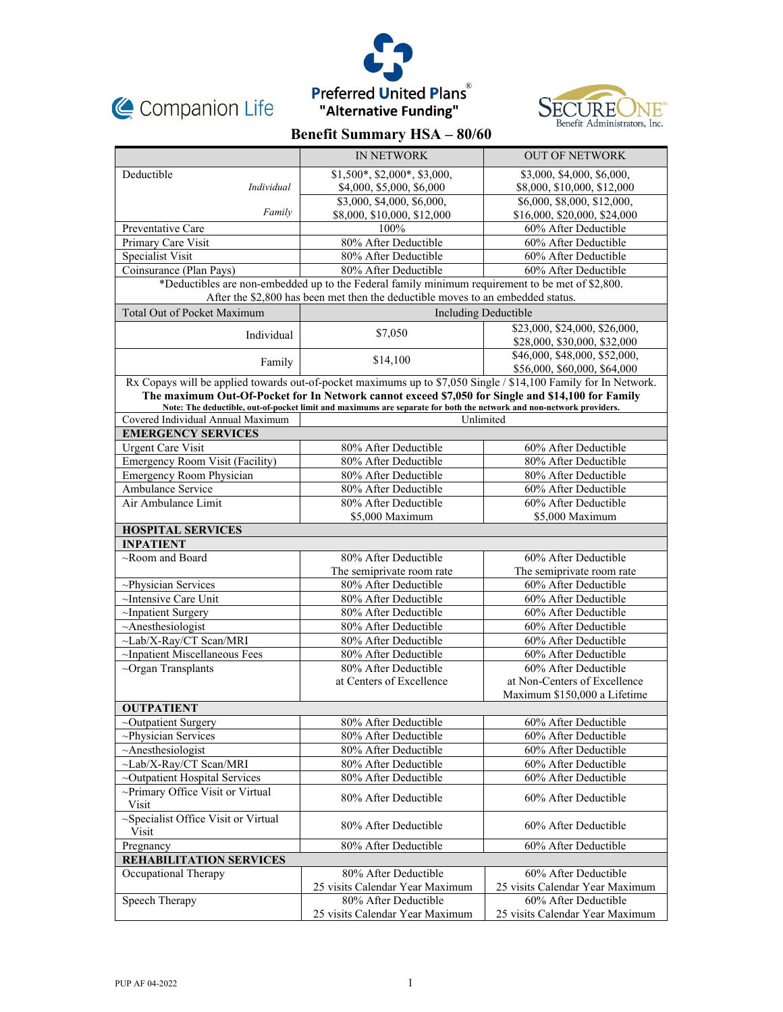





# **Benefit Summary HSA – 80/60**

|                                                                                                                                                                                                                      | IN NETWORK                                                                                                          | <b>OUT OF NETWORK</b>           |  |
|----------------------------------------------------------------------------------------------------------------------------------------------------------------------------------------------------------------------|---------------------------------------------------------------------------------------------------------------------|---------------------------------|--|
| Deductible                                                                                                                                                                                                           | $$1,500^*, $2,000^*, $3,000,$                                                                                       | \$3,000, \$4,000, \$6,000,      |  |
| Individual                                                                                                                                                                                                           | \$4,000, \$5,000, \$6,000                                                                                           | \$8,000, \$10,000, \$12,000     |  |
|                                                                                                                                                                                                                      | \$3,000, \$4,000, \$6,000,                                                                                          | \$6,000, \$8,000, \$12,000,     |  |
| Family                                                                                                                                                                                                               | \$8,000, \$10,000, \$12,000                                                                                         | \$16,000, \$20,000, \$24,000    |  |
| Preventative Care                                                                                                                                                                                                    | 100%                                                                                                                | 60% After Deductible            |  |
| Primary Care Visit                                                                                                                                                                                                   | 80% After Deductible                                                                                                | 60% After Deductible            |  |
| Specialist Visit                                                                                                                                                                                                     | 80% After Deductible                                                                                                | 60% After Deductible            |  |
| Coinsurance (Plan Pays)                                                                                                                                                                                              | 80% After Deductible                                                                                                | 60% After Deductible            |  |
| *Deductibles are non-embedded up to the Federal family minimum requirement to be met of \$2,800.                                                                                                                     |                                                                                                                     |                                 |  |
| After the \$2,800 has been met then the deductible moves to an embedded status.                                                                                                                                      |                                                                                                                     |                                 |  |
| <b>Total Out of Pocket Maximum</b>                                                                                                                                                                                   | <b>Including Deductible</b>                                                                                         |                                 |  |
| Individual                                                                                                                                                                                                           | \$7,050                                                                                                             | \$23,000, \$24,000, \$26,000,   |  |
|                                                                                                                                                                                                                      |                                                                                                                     | \$28,000, \$30,000, \$32,000    |  |
| Family                                                                                                                                                                                                               | \$14,100                                                                                                            | \$46,000, \$48,000, \$52,000,   |  |
|                                                                                                                                                                                                                      |                                                                                                                     | \$56,000, \$60,000, \$64,000    |  |
| Rx Copays will be applied towards out-of-pocket maximums up to \$7,050 Single / \$14,100 Family for In Network.<br>The maximum Out-Of-Pocket for In Network cannot exceed \$7,050 for Single and \$14,100 for Family |                                                                                                                     |                                 |  |
|                                                                                                                                                                                                                      | Note: The deductible, out-of-pocket limit and maximums are separate for both the network and non-network providers. |                                 |  |
| Covered Individual Annual Maximum                                                                                                                                                                                    | Unlimited                                                                                                           |                                 |  |
| <b>EMERGENCY SERVICES</b>                                                                                                                                                                                            |                                                                                                                     |                                 |  |
| <b>Urgent Care Visit</b>                                                                                                                                                                                             | 80% After Deductible                                                                                                | 60% After Deductible            |  |
| <b>Emergency Room Visit (Facility)</b>                                                                                                                                                                               | 80% After Deductible                                                                                                | 80% After Deductible            |  |
| Emergency Room Physician                                                                                                                                                                                             | 80% After Deductible                                                                                                | 80% After Deductible            |  |
| Ambulance Service                                                                                                                                                                                                    | 80% After Deductible                                                                                                | 60% After Deductible            |  |
| Air Ambulance Limit                                                                                                                                                                                                  | 80% After Deductible                                                                                                | 60% After Deductible            |  |
|                                                                                                                                                                                                                      | \$5,000 Maximum                                                                                                     | \$5,000 Maximum                 |  |
| <b>HOSPITAL SERVICES</b>                                                                                                                                                                                             |                                                                                                                     |                                 |  |
| <b>INPATIENT</b>                                                                                                                                                                                                     |                                                                                                                     |                                 |  |
| $\sim$ Room and Board                                                                                                                                                                                                | 80% After Deductible                                                                                                | 60% After Deductible            |  |
|                                                                                                                                                                                                                      | The semiprivate room rate                                                                                           | The semiprivate room rate       |  |
| ~Physician Services                                                                                                                                                                                                  | 80% After Deductible                                                                                                | 60% After Deductible            |  |
| ~Intensive Care Unit                                                                                                                                                                                                 | 80% After Deductible                                                                                                | 60% After Deductible            |  |
| ~Inpatient Surgery                                                                                                                                                                                                   | 80% After Deductible                                                                                                | 60% After Deductible            |  |
| $~\sim$ Anesthesiologist                                                                                                                                                                                             | 80% After Deductible                                                                                                | 60% After Deductible            |  |
| ~Lab/X-Ray/CT Scan/MRI                                                                                                                                                                                               | 80% After Deductible                                                                                                | 60% After Deductible            |  |
| ~Inpatient Miscellaneous Fees                                                                                                                                                                                        | 80% After Deductible                                                                                                | 60% After Deductible            |  |
| $\sim$ Organ Transplants                                                                                                                                                                                             | 80% After Deductible                                                                                                | 60% After Deductible            |  |
|                                                                                                                                                                                                                      | at Centers of Excellence                                                                                            | at Non-Centers of Excellence    |  |
|                                                                                                                                                                                                                      |                                                                                                                     | Maximum \$150,000 a Lifetime    |  |
| <b>OUTPATIENT</b>                                                                                                                                                                                                    |                                                                                                                     |                                 |  |
| ~Outpatient Surgery                                                                                                                                                                                                  | 80% After Deductible                                                                                                | 60% After Deductible            |  |
| ~Physician Services                                                                                                                                                                                                  | 80% After Deductible                                                                                                | 60% After Deductible            |  |
| $~\sim$ Anesthesiologist                                                                                                                                                                                             | 80% After Deductible                                                                                                | 60% After Deductible            |  |
| ~Lab/X-Ray/CT Scan/MRI                                                                                                                                                                                               | 80% After Deductible                                                                                                | 60% After Deductible            |  |
| ~Outpatient Hospital Services                                                                                                                                                                                        | 80% After Deductible                                                                                                | 60% After Deductible            |  |
| ~Primary Office Visit or Virtual                                                                                                                                                                                     | 80% After Deductible                                                                                                | 60% After Deductible            |  |
| Visit                                                                                                                                                                                                                |                                                                                                                     |                                 |  |
| ~Specialist Office Visit or Virtual<br>Visit                                                                                                                                                                         | 80% After Deductible                                                                                                | 60% After Deductible            |  |
| Pregnancy                                                                                                                                                                                                            | 80% After Deductible                                                                                                | 60% After Deductible            |  |
| <b>REHABILITATION SERVICES</b>                                                                                                                                                                                       |                                                                                                                     |                                 |  |
| Occupational Therapy                                                                                                                                                                                                 | 80% After Deductible                                                                                                | 60% After Deductible            |  |
|                                                                                                                                                                                                                      | 25 visits Calendar Year Maximum                                                                                     | 25 visits Calendar Year Maximum |  |
| Speech Therapy                                                                                                                                                                                                       | 80% After Deductible                                                                                                | 60% After Deductible            |  |
|                                                                                                                                                                                                                      | 25 visits Calendar Year Maximum                                                                                     | 25 visits Calendar Year Maximum |  |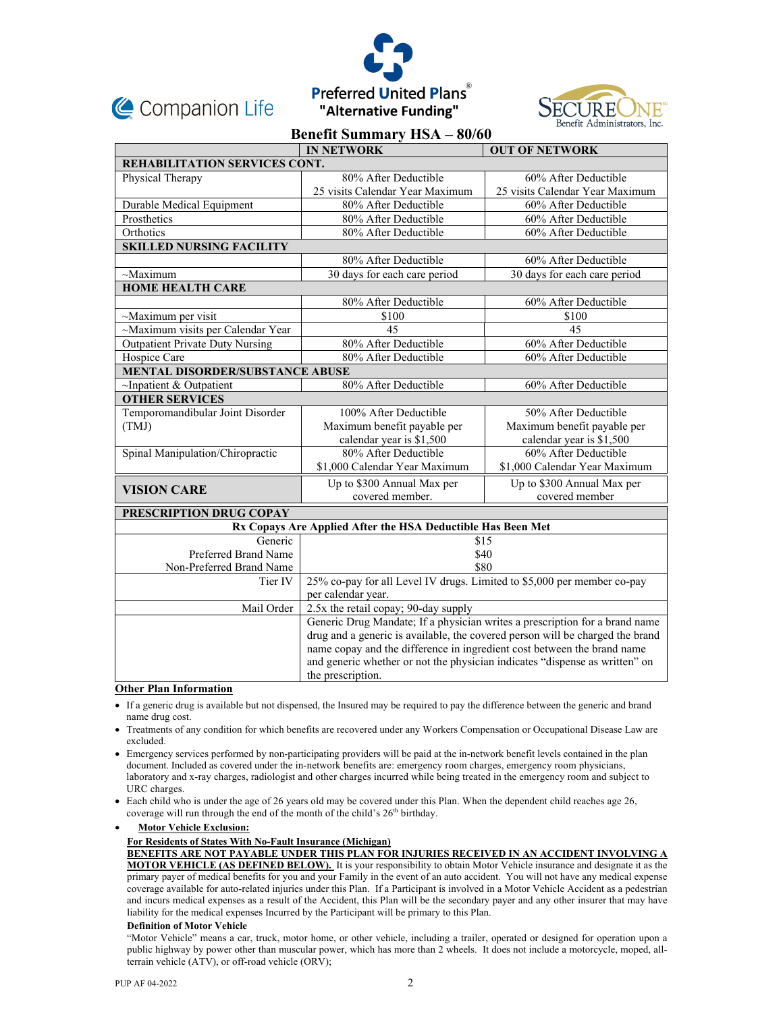





# **Benefit Summary HSA – 80/60**

|                                                             | <b>IN NETWORK</b>                                                             | <b>OUT OF NETWORK</b>           |  |
|-------------------------------------------------------------|-------------------------------------------------------------------------------|---------------------------------|--|
| REHABILITATION SERVICES CONT.                               |                                                                               |                                 |  |
| Physical Therapy                                            | 80% After Deductible                                                          | 60% After Deductible            |  |
|                                                             | 25 visits Calendar Year Maximum                                               | 25 visits Calendar Year Maximum |  |
| Durable Medical Equipment                                   | 80% After Deductible                                                          | 60% After Deductible            |  |
| Prosthetics                                                 | 80% After Deductible                                                          | 60% After Deductible            |  |
| Orthotics                                                   | 80% After Deductible                                                          | 60% After Deductible            |  |
| <b>SKILLED NURSING FACILITY</b>                             |                                                                               |                                 |  |
|                                                             | 80% After Deductible                                                          | 60% After Deductible            |  |
| $~\sim$ Maximum                                             | 30 days for each care period                                                  | 30 days for each care period    |  |
| <b>HOME HEALTH CARE</b>                                     |                                                                               |                                 |  |
|                                                             | 80% After Deductible                                                          | 60% After Deductible            |  |
| ~Maximum per visit                                          | \$100                                                                         | \$100                           |  |
| ~Maximum visits per Calendar Year                           | 45                                                                            | 45                              |  |
| <b>Outpatient Private Duty Nursing</b>                      | 80% After Deductible                                                          | 60% After Deductible            |  |
| Hospice Care                                                | 80% After Deductible                                                          | 60% After Deductible            |  |
| MENTAL DISORDER/SUBSTANCE ABUSE                             |                                                                               |                                 |  |
| $\sim$ Inpatient & Outpatient                               | 80% After Deductible                                                          | 60% After Deductible            |  |
| <b>OTHER SERVICES</b>                                       |                                                                               |                                 |  |
| Temporomandibular Joint Disorder                            | 100% After Deductible                                                         | 50% After Deductible            |  |
| (TMJ)                                                       | Maximum benefit payable per                                                   | Maximum benefit payable per     |  |
|                                                             | calendar year is \$1,500                                                      | calendar year is \$1,500        |  |
| Spinal Manipulation/Chiropractic                            | 80% After Deductible                                                          | 60% After Deductible            |  |
|                                                             | \$1,000 Calendar Year Maximum                                                 | \$1,000 Calendar Year Maximum   |  |
| <b>VISION CARE</b>                                          | Up to \$300 Annual Max per                                                    | Up to \$300 Annual Max per      |  |
|                                                             | covered member.                                                               | covered member                  |  |
| PRESCRIPTION DRUG COPAY                                     |                                                                               |                                 |  |
| Rx Copays Are Applied After the HSA Deductible Has Been Met |                                                                               |                                 |  |
| Generic                                                     | \$15                                                                          |                                 |  |
| Preferred Brand Name                                        | \$40                                                                          |                                 |  |
| Non-Preferred Brand Name                                    | \$80                                                                          |                                 |  |
| Tier IV                                                     | 25% co-pay for all Level IV drugs. Limited to \$5,000 per member co-pay       |                                 |  |
|                                                             | per calendar year.                                                            |                                 |  |
| Mail Order                                                  | 2.5x the retail copay; 90-day supply                                          |                                 |  |
|                                                             | Generic Drug Mandate; If a physician writes a prescription for a brand name   |                                 |  |
|                                                             | drug and a generic is available, the covered person will be charged the brand |                                 |  |
|                                                             | name copay and the difference in ingredient cost between the brand name       |                                 |  |
|                                                             | and generic whether or not the physician indicates "dispense as written" on   |                                 |  |
|                                                             | the prescription.                                                             |                                 |  |

### **Other Plan Information**

- If a generic drug is available but not dispensed, the Insured may be required to pay the difference between the generic and brand name drug cost.
- Treatments of any condition for which benefits are recovered under any Workers Compensation or Occupational Disease Law are excluded.
- Emergency services performed by non-participating providers will be paid at the in-network benefit levels contained in the plan document. Included as covered under the in-network benefits are: emergency room charges, emergency room physicians, laboratory and x-ray charges, radiologist and other charges incurred while being treated in the emergency room and subject to URC charges.
- Each child who is under the age of 26 years old may be covered under this Plan. When the dependent child reaches age 26, coverage will run through the end of the month of the child's  $26<sup>th</sup>$  birthday.

**Motor Vehicle Exclusion:** 

# **For Residents of States With No-Fault Insurance (Michigan)**

**BENEFITS ARE NOT PAYABLE UNDER THIS PLAN FOR INJURIES RECEIVED IN AN ACCIDENT INVOLVING A MOTOR VEHICLE (AS DEFINED BELOW).** It is your responsibility to obtain Motor Vehicle insurance and designate it as the primary payer of medical benefits for you and your Family in the event of an auto accident. You will not have any medical expense coverage available for auto-related injuries under this Plan. If a Participant is involved in a Motor Vehicle Accident as a pedestrian and incurs medical expenses as a result of the Accident, this Plan will be the secondary payer and any other insurer that may have liability for the medical expenses Incurred by the Participant will be primary to this Plan.

#### **Definition of Motor Vehicle**

"Motor Vehicle" means a car, truck, motor home, or other vehicle, including a trailer, operated or designed for operation upon a public highway by power other than muscular power, which has more than 2 wheels. It does not include a motorcycle, moped, allterrain vehicle (ATV), or off-road vehicle (ORV);